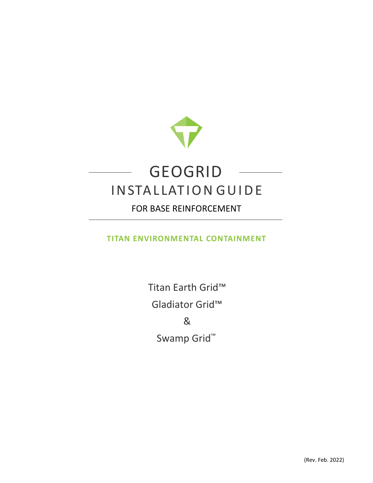

# GEOGRID INSTALLATION GUIDE

# FOR BASE REINFORCEMENT

## **TITAN ENVIRONMENTAL CONTAINMENT**

Titan Earth Grid™ Gladiator Grid™ & Swamp Grid™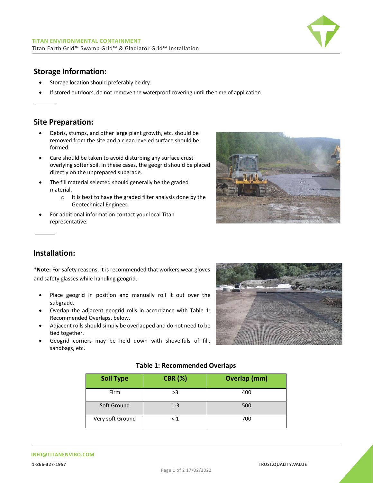

### **Storage Information:**

- Storage location should preferably be dry.
- If stored outdoors, do not remove the waterproof covering until the time of application.

#### **Site Preparation:**

- Debris, stumps, and other large plant growth, etc. should be removed from the site and a clean leveled surface should be formed.
- Care should be taken to avoid disturbing any surface crust overlying softer soil. In these cases, the geogrid should be placed directly on the unprepared subgrade.
- The fill material selected should generally be the graded material.
	- o It is best to have the graded filter analysis done by the Geotechnical Engineer.
- For additional information contact your local Titan representative.



#### **Installation:**

**\*Note:** For safety reasons, it is recommended that workers wear gloves and safety glasses while handling geogrid.

- Place geogrid in position and manually roll it out over the subgrade.
- Overlap the adjacent geogrid rolls in accordance with Table 1: Recommended Overlaps, below.
- Adjacent rolls should simply be overlapped and do not need to be tied together.
- Geogrid corners may be held down with shovelfuls of fill, sandbags, etc.



#### **Table 1: Recommended Overlaps**

| <b>Soil Type</b> | <b>CBR (%)</b> | <b>Overlap (mm)</b> |
|------------------|----------------|---------------------|
| Firm             | >3             | 400                 |
| Soft Ground      | $1 - 3$        | 500                 |
| Very soft Ground | < 1            | 700                 |